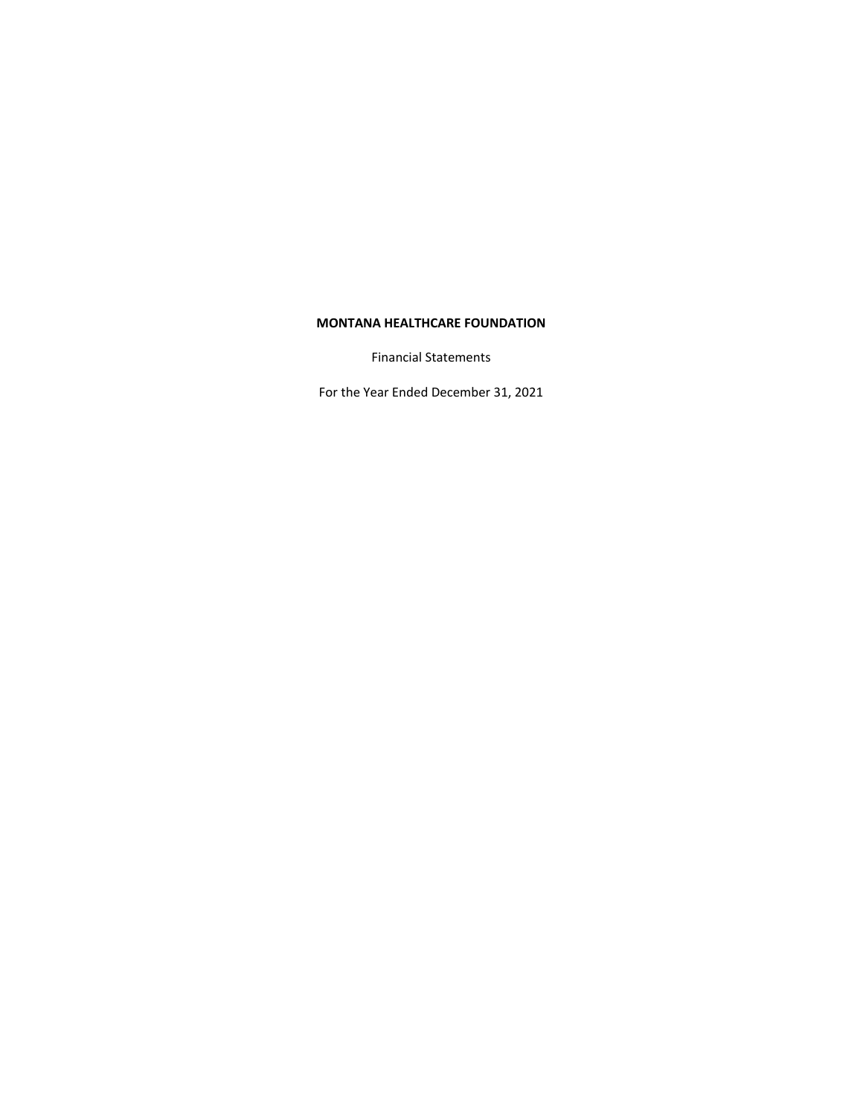Financial Statements

For the Year Ended December 31, 2021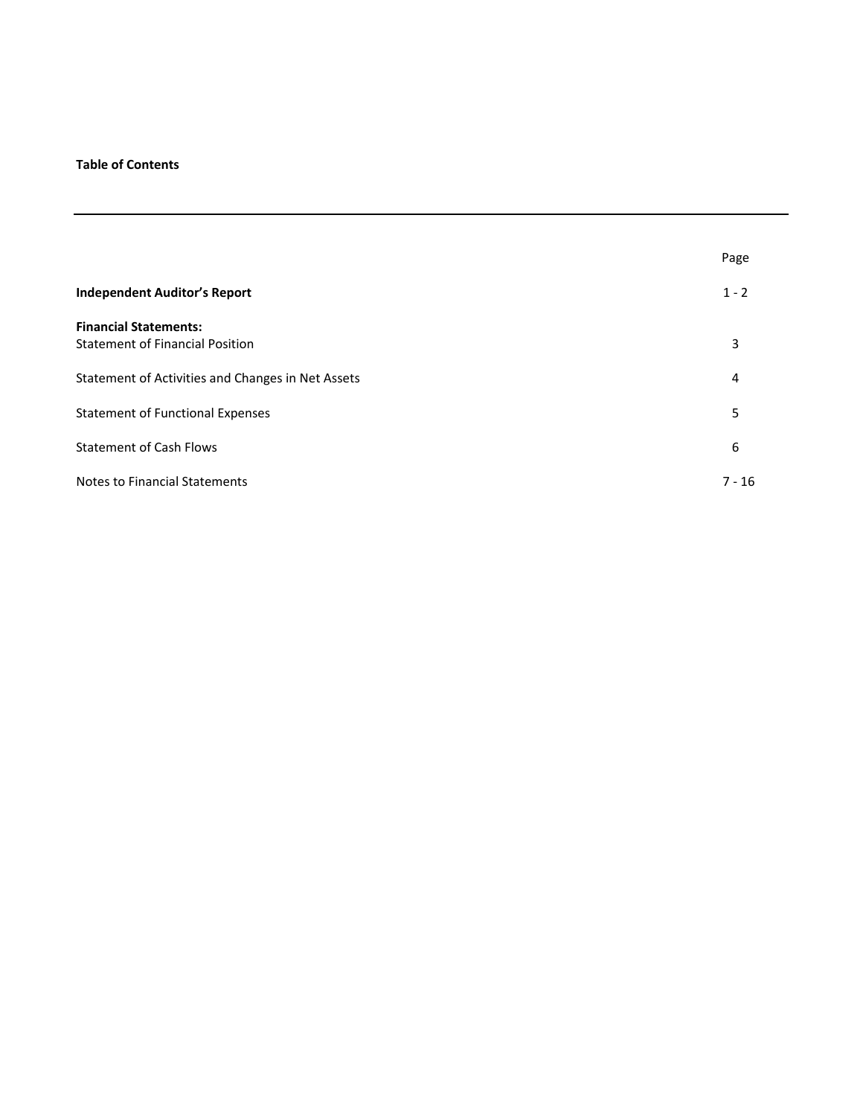# **Table of Contents**

|                                                   | Page     |
|---------------------------------------------------|----------|
| <b>Independent Auditor's Report</b>               | $1 - 2$  |
| <b>Financial Statements:</b>                      |          |
| <b>Statement of Financial Position</b>            | 3        |
| Statement of Activities and Changes in Net Assets | 4        |
| <b>Statement of Functional Expenses</b>           | 5        |
| <b>Statement of Cash Flows</b>                    | 6        |
| <b>Notes to Financial Statements</b>              | $7 - 16$ |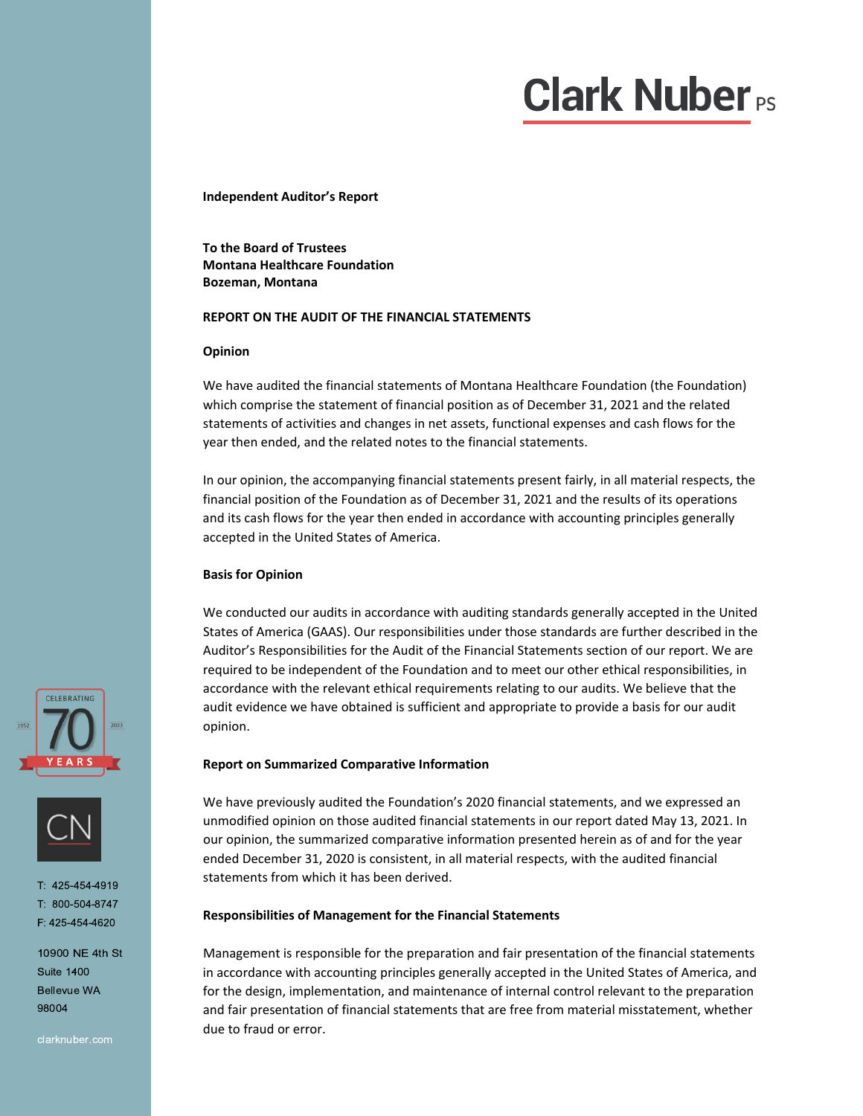# $\mathbf{r}$

**Independent Auditor's Report**

**To the Board of Trustees Montana Healthcare Foundation Bozeman, Montana**

## **REPORT ON THE AUDIT OF THE FINANCIAL STATEMENTS**

#### **Opinion**

We have audited the financial statements of Montana Healthcare Foundation (the Foundation) which comprise the statement of financial position as of December 31, 2021 and the related statements of activities and changes in net assets, functional expenses and cash flows for the year then ended, and the related notes to the financial statements.

In our opinion, the accompanying financial statements present fairly, in all material respects, the financial position of the Foundation as of December 31, 2021 and the results of its operations and its cash flows for the year then ended in accordance with accounting principles generally accepted in the United States of America.

## **Basis for Opinion**

We conducted our audits in accordance with auditing standards generally accepted in the United States of America (GAAS). Our responsibilities under those standards are further described in the Auditor's Responsibilities for the Audit of the Financial Statements section of our report. We are required to be independent of the Foundation and to meet our other ethical responsibilities, in accordance with the relevant ethical requirements relating to our audits. We believe that the audit evidence we have obtained is sufficient and appropriate to provide a basis for our audit opinion.

## **Report on Summarized Comparative Information**

We have previously audited the Foundation's 2020 financial statements, and we expressed an unmodified opinion on those audited financial statements in our report dated May 13, 2021. In our opinion, the summarized comparative information presented herein as of and for the year ended December 31, 2020 is consistent, in all material respects, with the audited financial statements from which it has been derived.

## **Responsibilities of Management for the Financial Statements**

Management is responsible for the preparation and fair presentation of the financial statements in accordance with accounting principles generally accepted in the United States of America, and for the design, implementation, and maintenance of internal control relevant to the preparation and fair presentation of financial statements that are free from material misstatement, whether due to fraud or error.





1:425-454-4919  $1: 800 - 504 - 8747$ F: 425-454-4620

10900 NE 4th St **Suite 1400 Bellevue WA** 98004

clarknuber.com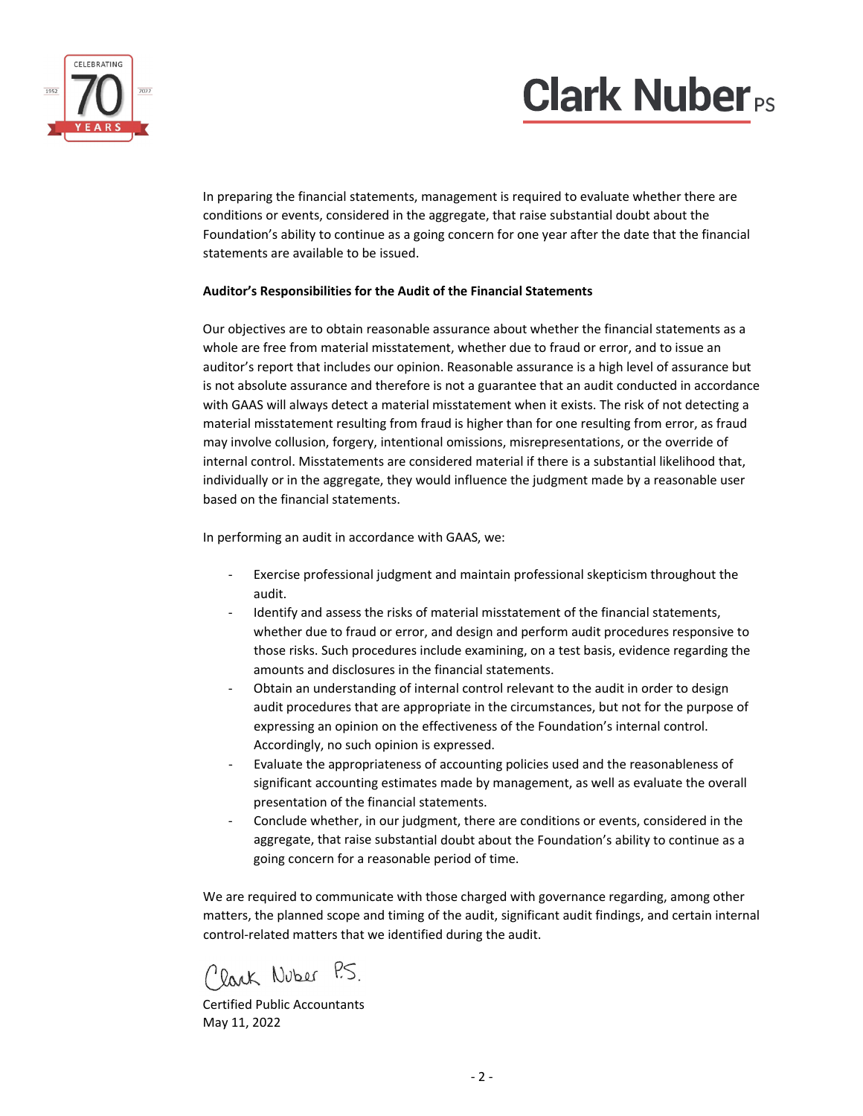# **Clark Nuber**<sub>PS</sub>



 In preparing the financial statements, management is required to evaluate whether there are conditions or events, considered in the aggregate, that raise substantial doubt about the Foundation's ability to continue as a going concern for one year after the date that the financial statements are available to be issued.

# **Auditor's Responsibilities for the Audit of the Financial Statements**

Our objectives are to obtain reasonable assurance about whether the financial statements as a whole are free from material misstatement, whether due to fraud or error, and to issue an auditor's report that includes our opinion. Reasonable assurance is a high level of assurance but is not absolute assurance and therefore is not a guarantee that an audit conducted in accordance with GAAS will always detect a material misstatement when it exists. The risk of not detecting a material misstatement resulting from fraud is higher than for one resulting from error, as fraud may involve collusion, forgery, intentional omissions, misrepresentations, or the override of internal control. Misstatements are considered material if there is a substantial likelihood that, individually or in the aggregate, they would influence the judgment made by a reasonable user based on the financial statements.

In performing an audit in accordance with GAAS, we:

- ‐ Exercise professional judgment and maintain professional skepticism throughout the audit.
- Identify and assess the risks of material misstatement of the financial statements, whether due to fraud or error, and design and perform audit procedures responsive to those risks. Such procedures include examining, on a test basis, evidence regarding the amounts and disclosures in the financial statements.
- Obtain an understanding of internal control relevant to the audit in order to design audit procedures that are appropriate in the circumstances, but not for the purpose of expressing an opinion on the effectiveness of the Foundation's internal control. Accordingly, no such opinion is expressed.
- ‐ Evaluate the appropriateness of accounting policies used and the reasonableness of significant accounting estimates made by management, as well as evaluate the overall presentation of the financial statements.
- ‐ Conclude whether, in our judgment, there are conditions or events, considered in the aggregate, that raise substantial doubt about the Foundation's ability to continue as a going concern for a reasonable period of time.

We are required to communicate with those charged with governance regarding, among other matters, the planned scope and timing of the audit, significant audit findings, and certain internal control‐related matters that we identified during the audit.

Clark Nuber P.S.

Certified Public Accountants May 11, 2022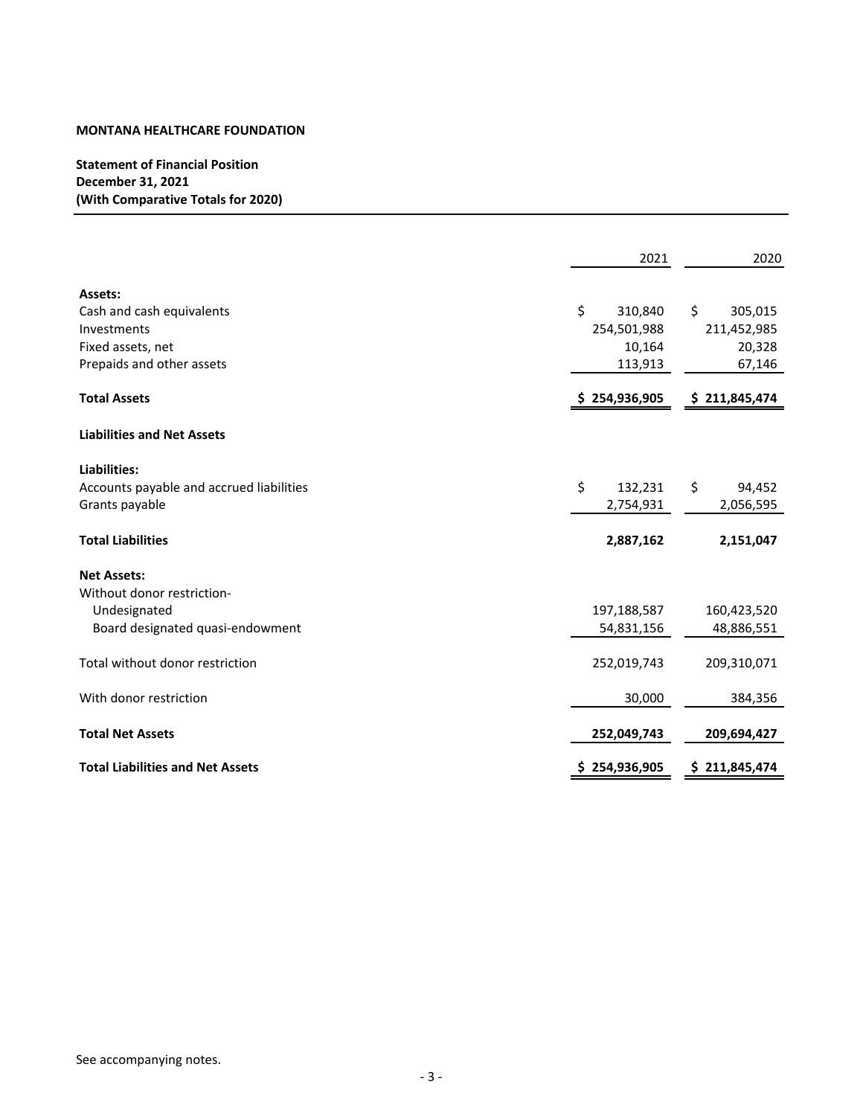**Statement of Financial Position December 31, 2021 (With Comparative Totals for 2020)**

|                                          | 2021          | 2020          |
|------------------------------------------|---------------|---------------|
| Assets:                                  |               |               |
| Cash and cash equivalents                | \$<br>310,840 | \$<br>305,015 |
| Investments                              | 254,501,988   | 211,452,985   |
| Fixed assets, net                        | 10,164        | 20,328        |
| Prepaids and other assets                | 113,913       | 67,146        |
| <b>Total Assets</b>                      | \$254,936,905 | \$211,845,474 |
| <b>Liabilities and Net Assets</b>        |               |               |
| Liabilities:                             |               |               |
| Accounts payable and accrued liabilities | \$<br>132,231 | \$<br>94,452  |
| Grants payable                           | 2,754,931     | 2,056,595     |
| <b>Total Liabilities</b>                 | 2,887,162     | 2,151,047     |
| <b>Net Assets:</b>                       |               |               |
| Without donor restriction-               |               |               |
| Undesignated                             | 197,188,587   | 160,423,520   |
| Board designated quasi-endowment         | 54,831,156    | 48,886,551    |
| Total without donor restriction          | 252,019,743   | 209,310,071   |
| With donor restriction                   | 30,000        | 384,356       |
| <b>Total Net Assets</b>                  | 252,049,743   | 209,694,427   |
| <b>Total Liabilities and Net Assets</b>  | \$254,936,905 | \$211,845,474 |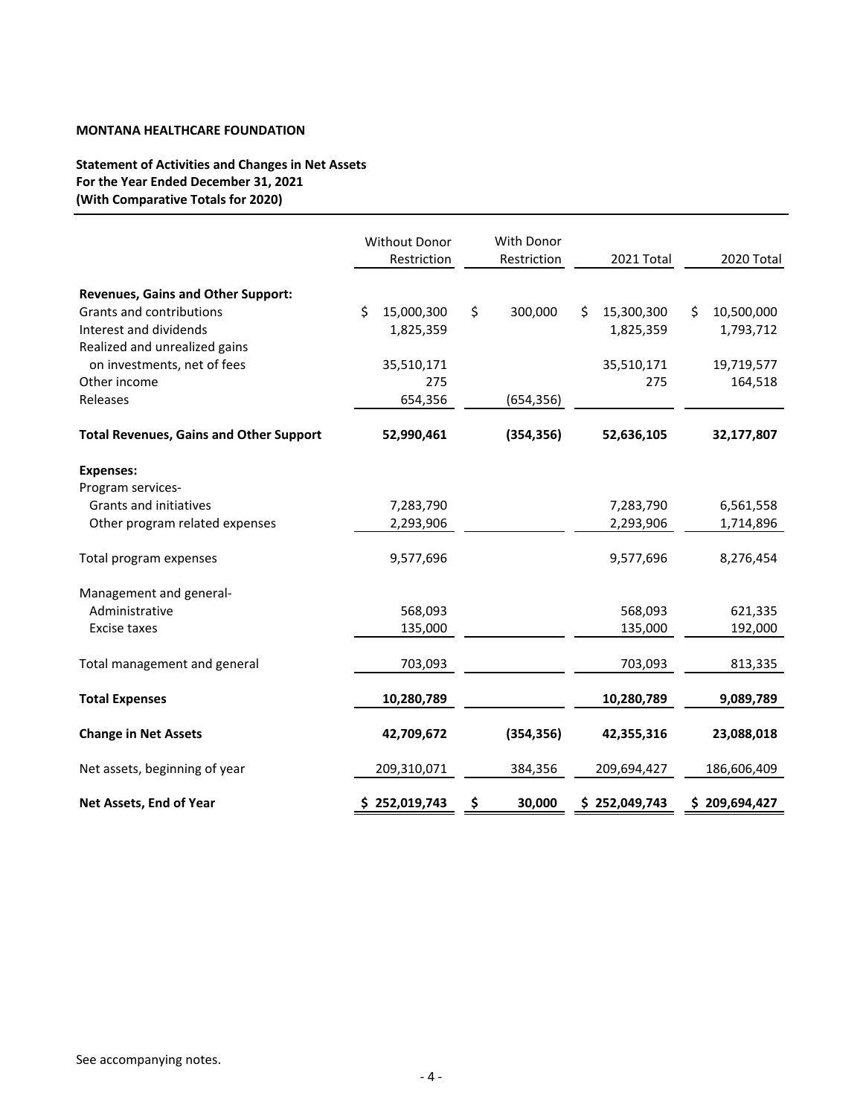# **Statement of Activities and Changes in Net Assets For the Year Ended December 31, 2021 (With Comparative Totals for 2020)**

|                                                | Without Donor<br>Restriction | <b>With Donor</b><br>Restriction |    | 2021 Total  | 2020 Total       |
|------------------------------------------------|------------------------------|----------------------------------|----|-------------|------------------|
| <b>Revenues, Gains and Other Support:</b>      |                              |                                  |    |             |                  |
| Grants and contributions                       | \$<br>15,000,300             | \$<br>300,000                    | Ś  | 15,300,300  | \$<br>10,500,000 |
| Interest and dividends                         | 1,825,359                    |                                  |    | 1,825,359   | 1,793,712        |
| Realized and unrealized gains                  |                              |                                  |    |             |                  |
| on investments, net of fees                    | 35,510,171                   |                                  |    | 35,510,171  | 19,719,577       |
| Other income                                   | 275                          |                                  |    | 275         | 164,518          |
| Releases                                       | 654,356                      | (654, 356)                       |    |             |                  |
|                                                |                              |                                  |    |             |                  |
| <b>Total Revenues, Gains and Other Support</b> | 52,990,461                   | (354, 356)                       |    | 52,636,105  | 32,177,807       |
| <b>Expenses:</b>                               |                              |                                  |    |             |                  |
| Program services-                              |                              |                                  |    |             |                  |
| Grants and initiatives                         | 7,283,790                    |                                  |    | 7,283,790   | 6,561,558        |
| Other program related expenses                 | 2,293,906                    |                                  |    | 2,293,906   | 1,714,896        |
| Total program expenses                         | 9,577,696                    |                                  |    | 9,577,696   | 8,276,454        |
| Management and general-                        |                              |                                  |    |             |                  |
| Administrative                                 | 568,093                      |                                  |    | 568,093     | 621,335          |
| <b>Excise taxes</b>                            | 135,000                      |                                  |    | 135,000     | 192,000          |
|                                                |                              |                                  |    |             |                  |
| Total management and general                   | 703,093                      |                                  |    | 703,093     | 813,335          |
| <b>Total Expenses</b>                          | 10,280,789                   |                                  |    | 10,280,789  | 9,089,789        |
| <b>Change in Net Assets</b>                    | 42,709,672                   | (354, 356)                       |    | 42,355,316  | 23,088,018       |
| Net assets, beginning of year                  | 209,310,071                  | 384,356                          |    | 209,694,427 | 186,606,409      |
| Net Assets, End of Year                        | \$252,019,743                | \$<br>30,000                     | S. | 252,049,743 | \$209,694,427    |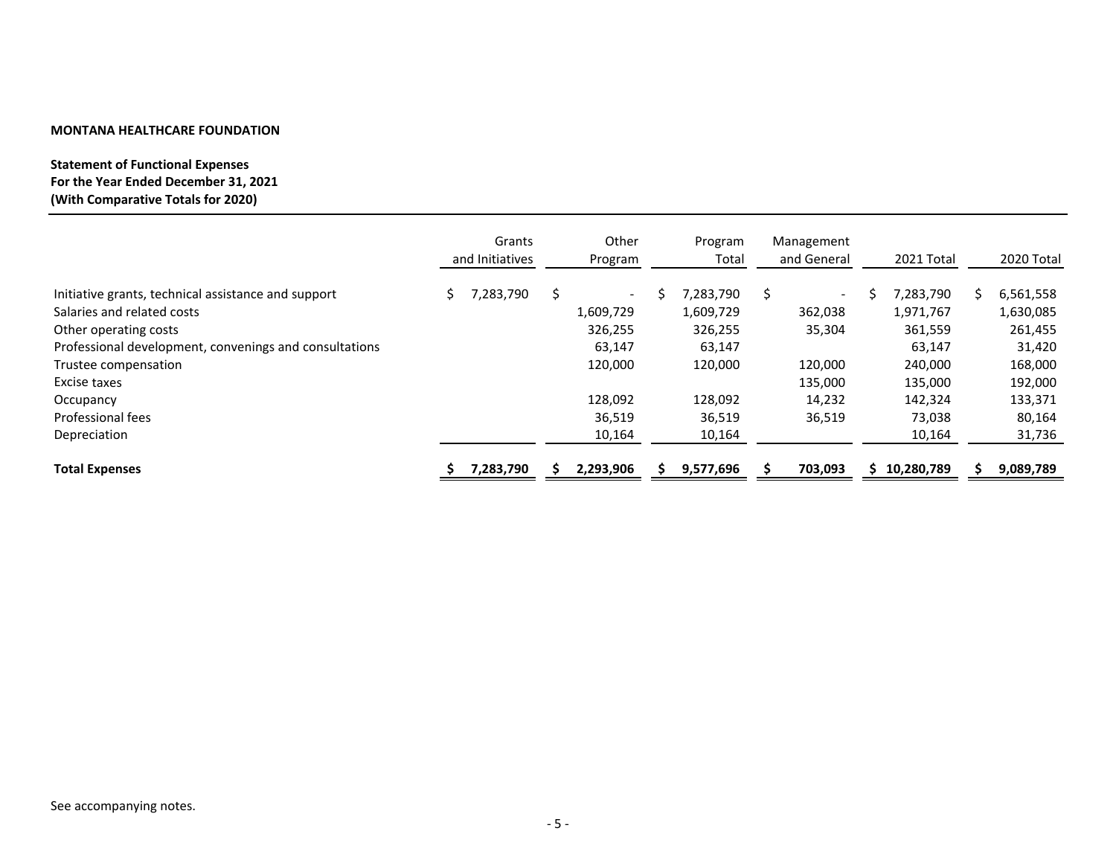# **Statement of Functional Expenses For the Year Ended December 31, 2021 (With Comparative Totals for 2020)**

|                                                        |    | Grants<br>and Initiatives |    | Other<br>Program         | Program<br>Total | Management<br>and General | 2021 Total |   | 2020 Total |
|--------------------------------------------------------|----|---------------------------|----|--------------------------|------------------|---------------------------|------------|---|------------|
| Initiative grants, technical assistance and support    | S. | 7,283,790                 | Ś. | $\overline{\phantom{0}}$ | 7,283,790        | $\overline{\phantom{a}}$  | 7,283,790  | S | 6,561,558  |
| Salaries and related costs                             |    |                           |    | 1,609,729                | 1,609,729        | 362,038                   | 1,971,767  |   | 1,630,085  |
| Other operating costs                                  |    |                           |    | 326,255                  | 326,255          | 35,304                    | 361,559    |   | 261,455    |
| Professional development, convenings and consultations |    |                           |    | 63,147                   | 63,147           |                           | 63,147     |   | 31,420     |
| Trustee compensation                                   |    |                           |    | 120,000                  | 120,000          | 120,000                   | 240,000    |   | 168,000    |
| Excise taxes                                           |    |                           |    |                          |                  | 135,000                   | 135,000    |   | 192,000    |
| Occupancy                                              |    |                           |    | 128,092                  | 128,092          | 14,232                    | 142,324    |   | 133,371    |
| Professional fees                                      |    |                           |    | 36,519                   | 36,519           | 36,519                    | 73,038     |   | 80,164     |
| Depreciation                                           |    |                           |    | 10,164                   | 10,164           |                           | 10,164     |   | 31,736     |
| <b>Total Expenses</b>                                  |    | 7,283,790                 |    | 2,293,906                | 9,577,696        | 703,093                   | 10,280,789 |   | 9,089,789  |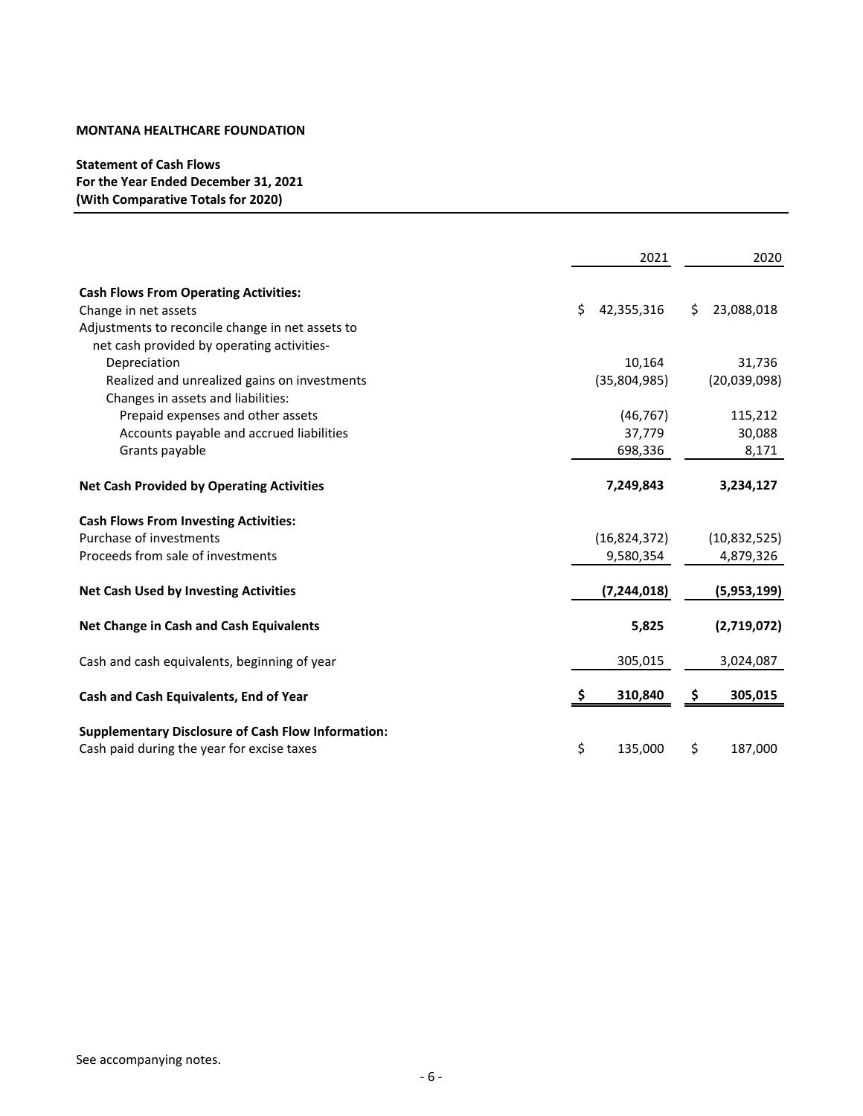**Statement of Cash Flows For the Year Ended December 31, 2021 (With Comparative Totals for 2020)**

|                                                           | 2021             | 2020             |
|-----------------------------------------------------------|------------------|------------------|
| <b>Cash Flows From Operating Activities:</b>              |                  |                  |
| Change in net assets                                      | Ś.<br>42,355,316 | 23,088,018<br>Ŝ. |
| Adjustments to reconcile change in net assets to          |                  |                  |
| net cash provided by operating activities-                |                  |                  |
| Depreciation                                              | 10,164           | 31,736           |
| Realized and unrealized gains on investments              | (35,804,985)     | (20,039,098)     |
| Changes in assets and liabilities:                        |                  |                  |
| Prepaid expenses and other assets                         | (46, 767)        | 115,212          |
| Accounts payable and accrued liabilities                  | 37,779           | 30,088           |
| Grants payable                                            | 698,336          | 8,171            |
| <b>Net Cash Provided by Operating Activities</b>          | 7,249,843        | 3,234,127        |
| <b>Cash Flows From Investing Activities:</b>              |                  |                  |
| Purchase of investments                                   | (16, 824, 372)   | (10,832,525)     |
| Proceeds from sale of investments                         | 9,580,354        | 4,879,326        |
| <b>Net Cash Used by Investing Activities</b>              | (7, 244, 018)    | (5,953,199)      |
| Net Change in Cash and Cash Equivalents                   | 5,825            | (2,719,072)      |
| Cash and cash equivalents, beginning of year              | 305,015          | 3,024,087        |
| Cash and Cash Equivalents, End of Year                    | 310,840          | 305,015          |
|                                                           |                  |                  |
| <b>Supplementary Disclosure of Cash Flow Information:</b> |                  |                  |
| Cash paid during the year for excise taxes                | \$<br>135,000    | \$<br>187,000    |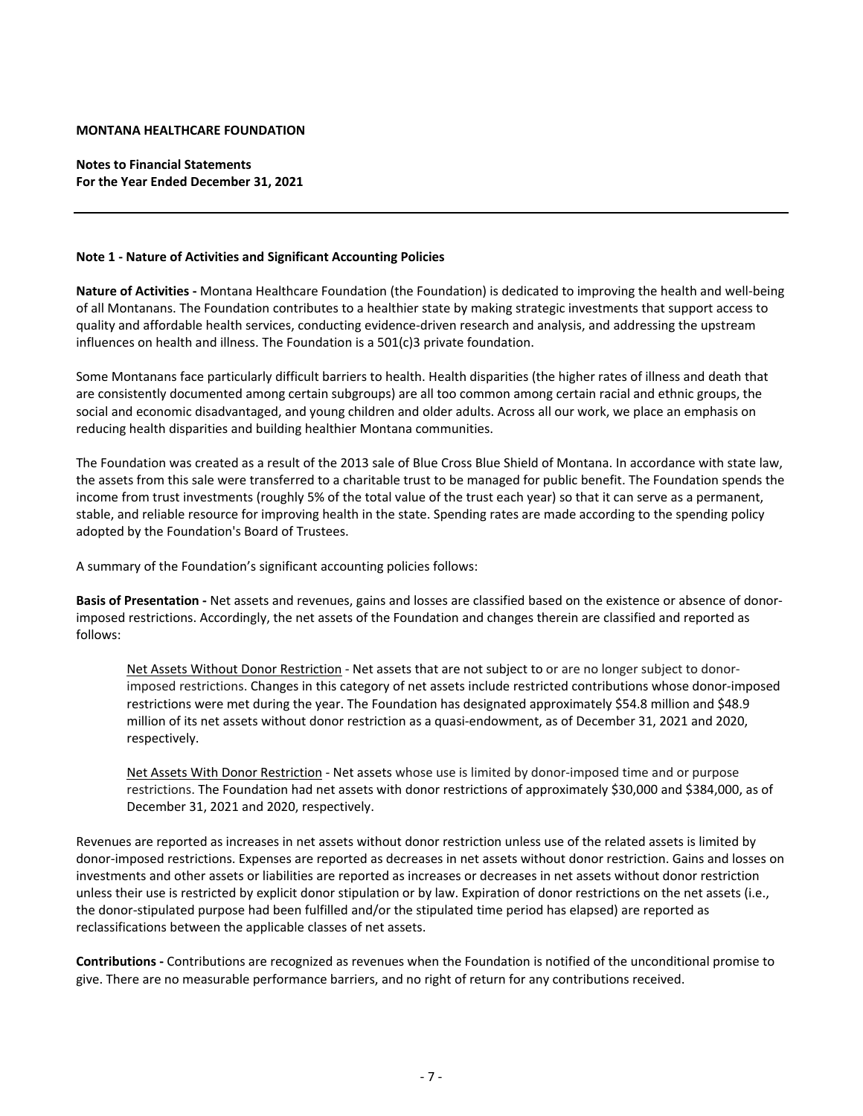**Notes to Financial Statements For the Year Ended December 31, 2021**

#### **Note 1 ‐ Nature of Activities and Significant Accounting Policies**

**Nature of Activities ‐** Montana Healthcare Foundation (the Foundation) is dedicated to improving the health and well‐being of all Montanans. The Foundation contributes to a healthier state by making strategic investments that support access to quality and affordable health services, conducting evidence‐driven research and analysis, and addressing the upstream influences on health and illness. The Foundation is a 501(c)3 private foundation.

Some Montanans face particularly difficult barriers to health. Health disparities (the higher rates of illness and death that are consistently documented among certain subgroups) are all too common among certain racial and ethnic groups, the social and economic disadvantaged, and young children and older adults. Across all our work, we place an emphasis on reducing health disparities and building healthier Montana communities.

The Foundation was created as a result of the 2013 sale of Blue Cross Blue Shield of Montana. In accordance with state law, the assets from this sale were transferred to a charitable trust to be managed for public benefit. The Foundation spends the income from trust investments (roughly 5% of the total value of the trust each year) so that it can serve as a permanent, stable, and reliable resource for improving health in the state. Spending rates are made according to the spending policy adopted by the Foundation's Board of Trustees.

A summary of the Foundation's significant accounting policies follows:

**Basis of Presentation ‐** Net assets and revenues, gains and losses are classified based on the existence or absence of donor‐ imposed restrictions. Accordingly, the net assets of the Foundation and changes therein are classified and reported as follows:

Net Assets Without Donor Restriction ‐ Net assets that are not subject to or are no longer subject to donor‐ imposed restrictions. Changes in this category of net assets include restricted contributions whose donor‐imposed restrictions were met during the year. The Foundation has designated approximately \$54.8 million and \$48.9 million of its net assets without donor restriction as a quasi‐endowment, as of December 31, 2021 and 2020, respectively.

Net Assets With Donor Restriction ‐ Net assets whose use is limited by donor‐imposed time and or purpose restrictions. The Foundation had net assets with donor restrictions of approximately \$30,000 and \$384,000, as of December 31, 2021 and 2020, respectively.

Revenues are reported as increases in net assets without donor restriction unless use of the related assets is limited by donor‐imposed restrictions. Expenses are reported as decreases in net assets without donor restriction. Gains and losses on investments and other assets or liabilities are reported as increases or decreases in net assets without donor restriction unless their use is restricted by explicit donor stipulation or by law. Expiration of donor restrictions on the net assets (i.e., the donor‐stipulated purpose had been fulfilled and/or the stipulated time period has elapsed) are reported as reclassifications between the applicable classes of net assets.

**Contributions ‐** Contributions are recognized as revenues when the Foundation is notified of the unconditional promise to give. There are no measurable performance barriers, and no right of return for any contributions received.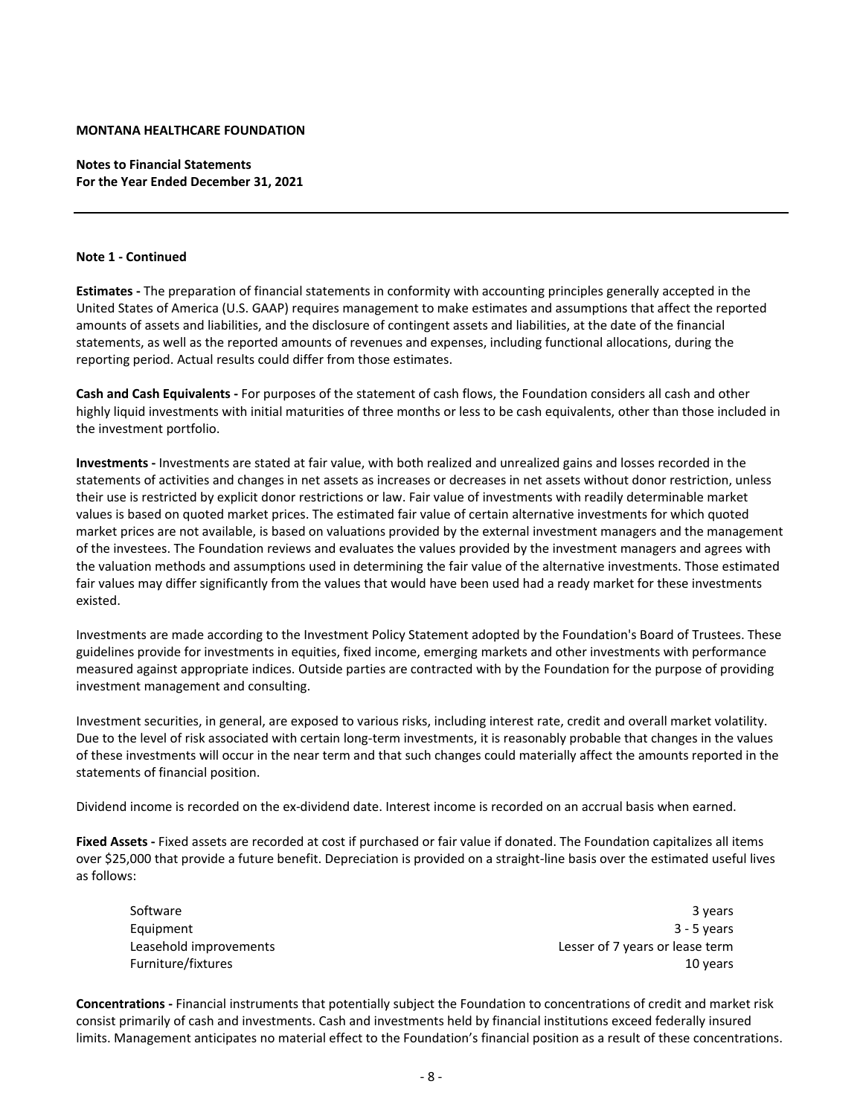**Notes to Financial Statements For the Year Ended December 31, 2021**

#### **Note 1 ‐ Continued**

**Estimates ‐** The preparation of financial statements in conformity with accounting principles generally accepted in the United States of America (U.S. GAAP) requires management to make estimates and assumptions that affect the reported amounts of assets and liabilities, and the disclosure of contingent assets and liabilities, at the date of the financial statements, as well as the reported amounts of revenues and expenses, including functional allocations, during the reporting period. Actual results could differ from those estimates.

**Cash and Cash Equivalents ‐** For purposes of the statement of cash flows, the Foundation considers all cash and other highly liquid investments with initial maturities of three months or less to be cash equivalents, other than those included in the investment portfolio.

**Investments ‐** Investments are stated at fair value, with both realized and unrealized gains and losses recorded in the statements of activities and changes in net assets as increases or decreases in net assets without donor restriction, unless their use is restricted by explicit donor restrictions or law. Fair value of investments with readily determinable market values is based on quoted market prices. The estimated fair value of certain alternative investments for which quoted market prices are not available, is based on valuations provided by the external investment managers and the management of the investees. The Foundation reviews and evaluates the values provided by the investment managers and agrees with the valuation methods and assumptions used in determining the fair value of the alternative investments. Those estimated fair values may differ significantly from the values that would have been used had a ready market for these investments existed.

Investments are made according to the Investment Policy Statement adopted by the Foundation's Board of Trustees. These guidelines provide for investments in equities, fixed income, emerging markets and other investments with performance measured against appropriate indices. Outside parties are contracted with by the Foundation for the purpose of providing investment management and consulting.

Investment securities, in general, are exposed to various risks, including interest rate, credit and overall market volatility. Due to the level of risk associated with certain long-term investments, it is reasonably probable that changes in the values of these investments will occur in the near term and that such changes could materially affect the amounts reported in the statements of financial position.

Dividend income is recorded on the ex‐dividend date. Interest income is recorded on an accrual basis when earned.

**Fixed Assets ‐** Fixed assets are recorded at cost if purchased or fair value if donated. The Foundation capitalizes all items over \$25,000 that provide a future benefit. Depreciation is provided on a straight‐line basis over the estimated useful lives as follows:

Software 3 years 3 years and 2 years and 3 years and 3 years and 3 years and 3 years 3 years 3 years and 3 years and 3 years and 3 years and 3 years and 3 years and 3 years and 3 years and 3 years and 3 years and 3 years a Equipment 3 ‐ 5 years Leasehold improvements Lesser of 7 years or lease term Furniture/fixtures 10 years

**Concentrations ‐** Financial instruments that potentially subject the Foundation to concentrations of credit and market risk consist primarily of cash and investments. Cash and investments held by financial institutions exceed federally insured limits. Management anticipates no material effect to the Foundation's financial position as a result of these concentrations.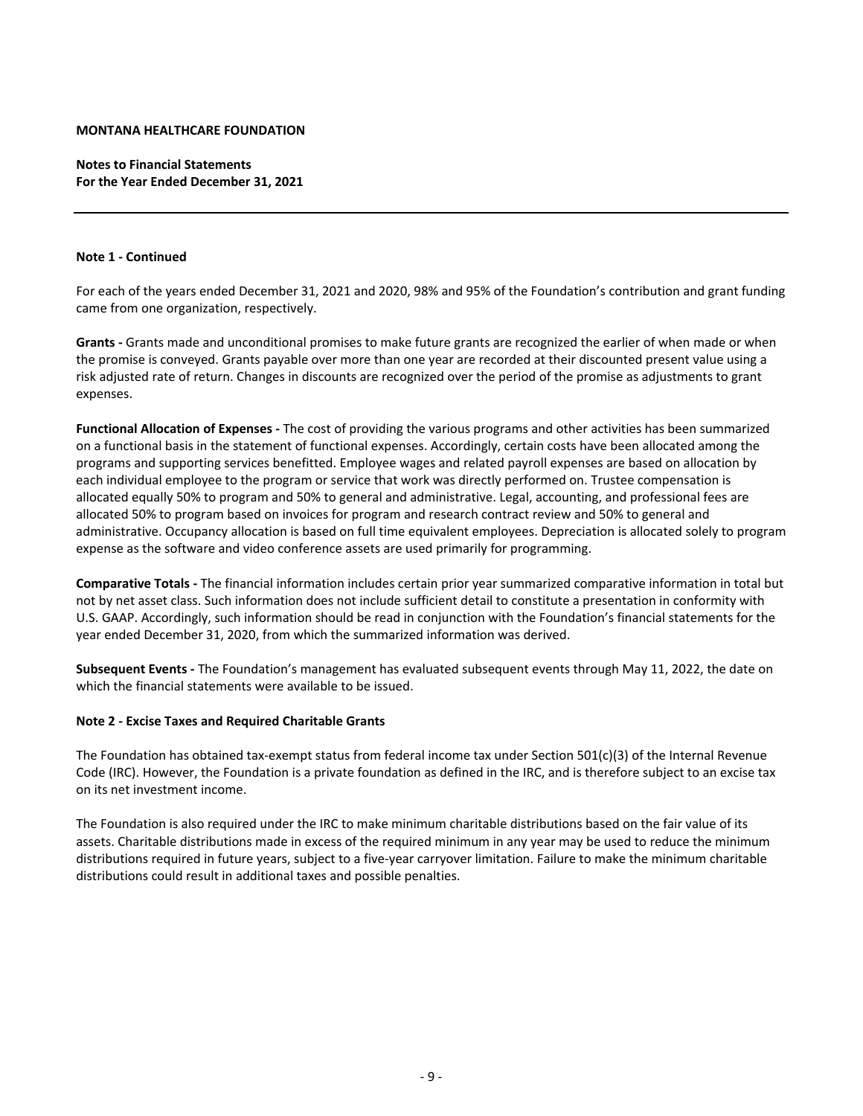**Notes to Financial Statements For the Year Ended December 31, 2021**

#### **Note 1 ‐ Continued**

For each of the years ended December 31, 2021 and 2020, 98% and 95% of the Foundation's contribution and grant funding came from one organization, respectively.

**Grants ‐** Grants made and unconditional promises to make future grants are recognized the earlier of when made or when the promise is conveyed. Grants payable over more than one year are recorded at their discounted present value using a risk adjusted rate of return. Changes in discounts are recognized over the period of the promise as adjustments to grant expenses.

**Functional Allocation of Expenses ‐** The cost of providing the various programs and other activities has been summarized on a functional basis in the statement of functional expenses. Accordingly, certain costs have been allocated among the programs and supporting services benefitted. Employee wages and related payroll expenses are based on allocation by each individual employee to the program or service that work was directly performed on. Trustee compensation is allocated equally 50% to program and 50% to general and administrative. Legal, accounting, and professional fees are allocated 50% to program based on invoices for program and research contract review and 50% to general and administrative. Occupancy allocation is based on full time equivalent employees. Depreciation is allocated solely to program expense as the software and video conference assets are used primarily for programming.

**Comparative Totals ‐** The financial information includes certain prior year summarized comparative information in total but not by net asset class. Such information does not include sufficient detail to constitute a presentation in conformity with U.S. GAAP. Accordingly, such information should be read in conjunction with the Foundation's financial statements for the year ended December 31, 2020, from which the summarized information was derived.

**Subsequent Events ‐** The Foundation's management has evaluated subsequent events through May 11, 2022, the date on which the financial statements were available to be issued.

## **Note 2 ‐ Excise Taxes and Required Charitable Grants**

The Foundation has obtained tax-exempt status from federal income tax under Section 501(c)(3) of the Internal Revenue Code (IRC). However, the Foundation is a private foundation as defined in the IRC, and is therefore subject to an excise tax on its net investment income.

The Foundation is also required under the IRC to make minimum charitable distributions based on the fair value of its assets. Charitable distributions made in excess of the required minimum in any year may be used to reduce the minimum distributions required in future years, subject to a five-year carryover limitation. Failure to make the minimum charitable distributions could result in additional taxes and possible penalties.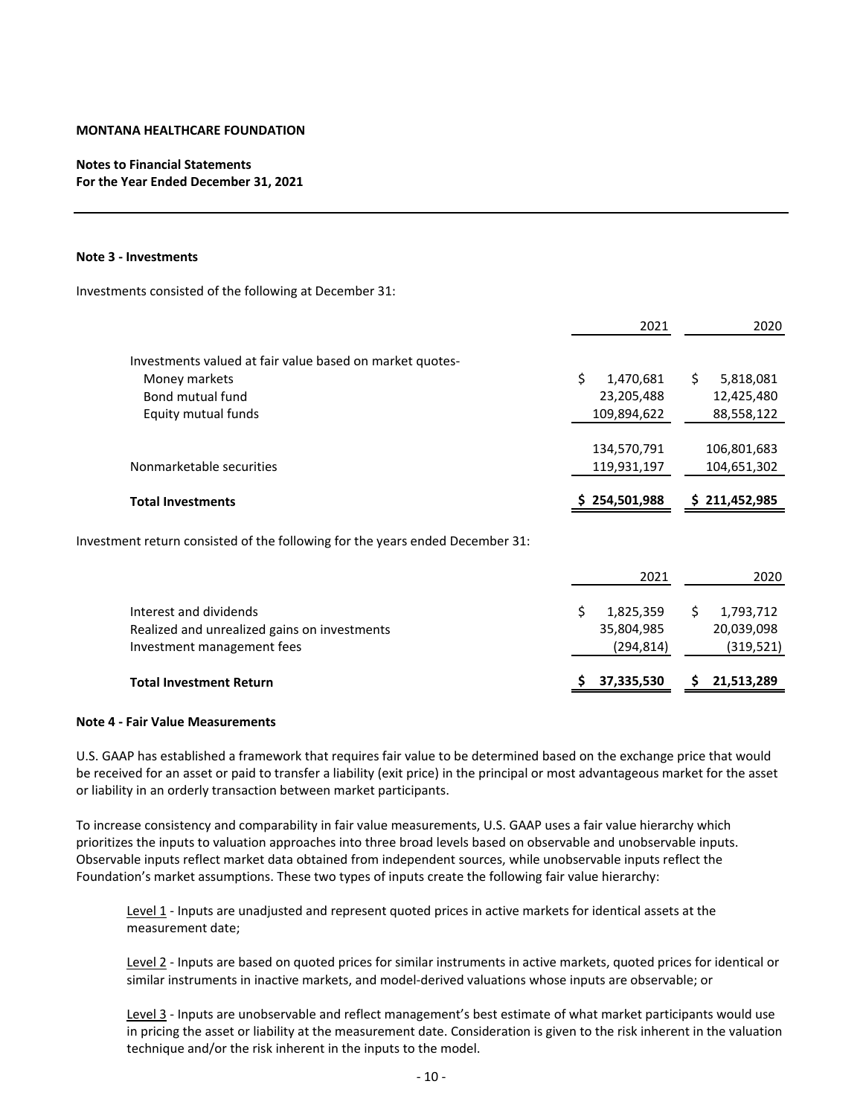# **Notes to Financial Statements For the Year Ended December 31, 2021**

#### **Note 3 ‐ Investments**

Investments consisted of the following at December 31:

|                                                          | 2021            | 2020           |
|----------------------------------------------------------|-----------------|----------------|
| Investments valued at fair value based on market quotes- |                 |                |
| Money markets                                            | Ś.<br>1,470,681 | Ś<br>5,818,081 |
| Bond mutual fund                                         | 23,205,488      | 12,425,480     |
| Equity mutual funds                                      | 109,894,622     | 88,558,122     |
|                                                          |                 |                |
|                                                          | 134,570,791     | 106,801,683    |
| Nonmarketable securities                                 | 119,931,197     | 104,651,302    |
|                                                          |                 |                |
| <b>Total Investments</b>                                 | 254,501,988     | \$211,452,985  |

Investment return consisted of the following for the years ended December 31:

|                                                                                                      | 2021                                  | 2020                                 |
|------------------------------------------------------------------------------------------------------|---------------------------------------|--------------------------------------|
| Interest and dividends<br>Realized and unrealized gains on investments<br>Investment management fees | 1,825,359<br>35,804,985<br>(294, 814) | 1,793,712<br>20,039,098<br>(319,521) |
| <b>Total Investment Return</b>                                                                       | 37,335,530                            | 21,513,289                           |

#### **Note 4 ‐ Fair Value Measurements**

U.S. GAAP has established a framework that requires fair value to be determined based on the exchange price that would be received for an asset or paid to transfer a liability (exit price) in the principal or most advantageous market for the asset or liability in an orderly transaction between market participants.

To increase consistency and comparability in fair value measurements, U.S. GAAP uses a fair value hierarchy which prioritizes the inputs to valuation approaches into three broad levels based on observable and unobservable inputs. Observable inputs reflect market data obtained from independent sources, while unobservable inputs reflect the Foundation's market assumptions. These two types of inputs create the following fair value hierarchy:

Level 1 ‐ Inputs are unadjusted and represent quoted prices in active markets for identical assets at the measurement date;

Level 2 ‐ Inputs are based on quoted prices for similar instruments in active markets, quoted prices for identical or similar instruments in inactive markets, and model‐derived valuations whose inputs are observable; or

Level 3 - Inputs are unobservable and reflect management's best estimate of what market participants would use in pricing the asset or liability at the measurement date. Consideration is given to the risk inherent in the valuation technique and/or the risk inherent in the inputs to the model.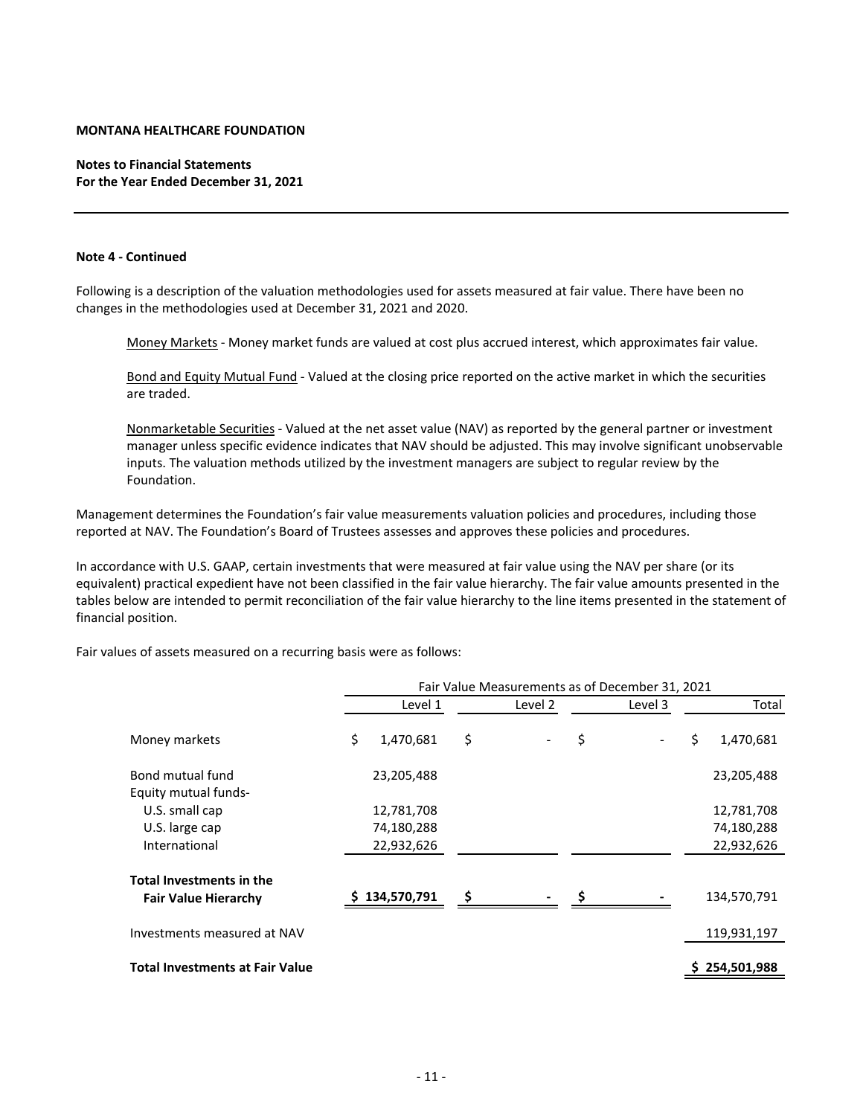# **Notes to Financial Statements For the Year Ended December 31, 2021**

#### **Note 4 ‐ Continued**

Following is a description of the valuation methodologies used for assets measured at fair value. There have been no changes in the methodologies used at December 31, 2021 and 2020.

Money Markets ‐ Money market funds are valued at cost plus accrued interest, which approximates fair value.

Bond and Equity Mutual Fund ‐ Valued at the closing price reported on the active market in which the securities are traded.

Nonmarketable Securities ‐ Valued at the net asset value (NAV) as reported by the general partner or investment manager unless specific evidence indicates that NAV should be adjusted. This may involve significant unobservable inputs. The valuation methods utilized by the investment managers are subject to regular review by the Foundation.

Management determines the Foundation's fair value measurements valuation policies and procedures, including those reported at NAV. The Foundation's Board of Trustees assesses and approves these policies and procedures.

In accordance with U.S. GAAP, certain investments that were measured at fair value using the NAV per share (or its equivalent) practical expedient have not been classified in the fair value hierarchy. The fair value amounts presented in the tables below are intended to permit reconciliation of the fair value hierarchy to the line items presented in the statement of financial position.

Fair values of assets measured on a recurring basis were as follows:

|                                        |                 |         |    | Fair Value Measurements as of December 31, 2021 |                 |
|----------------------------------------|-----------------|---------|----|-------------------------------------------------|-----------------|
|                                        | Level 1         | Level 2 |    | Level 3                                         | Total           |
| Money markets                          | \$<br>1,470,681 | \$      | \$ |                                                 | \$<br>1,470,681 |
| Bond mutual fund                       | 23,205,488      |         |    |                                                 | 23,205,488      |
| <b>Equity mutual funds-</b>            |                 |         |    |                                                 |                 |
| U.S. small cap                         | 12,781,708      |         |    |                                                 | 12,781,708      |
| U.S. large cap                         | 74,180,288      |         |    |                                                 | 74,180,288      |
| International                          | 22,932,626      |         |    |                                                 | 22,932,626      |
| <b>Total Investments in the</b>        |                 |         |    |                                                 |                 |
| <b>Fair Value Hierarchy</b>            | \$134,570,791   | \$      | Ś  |                                                 | 134,570,791     |
| Investments measured at NAV            |                 |         |    |                                                 | 119,931,197     |
| <b>Total Investments at Fair Value</b> |                 |         |    |                                                 | 254,501,988     |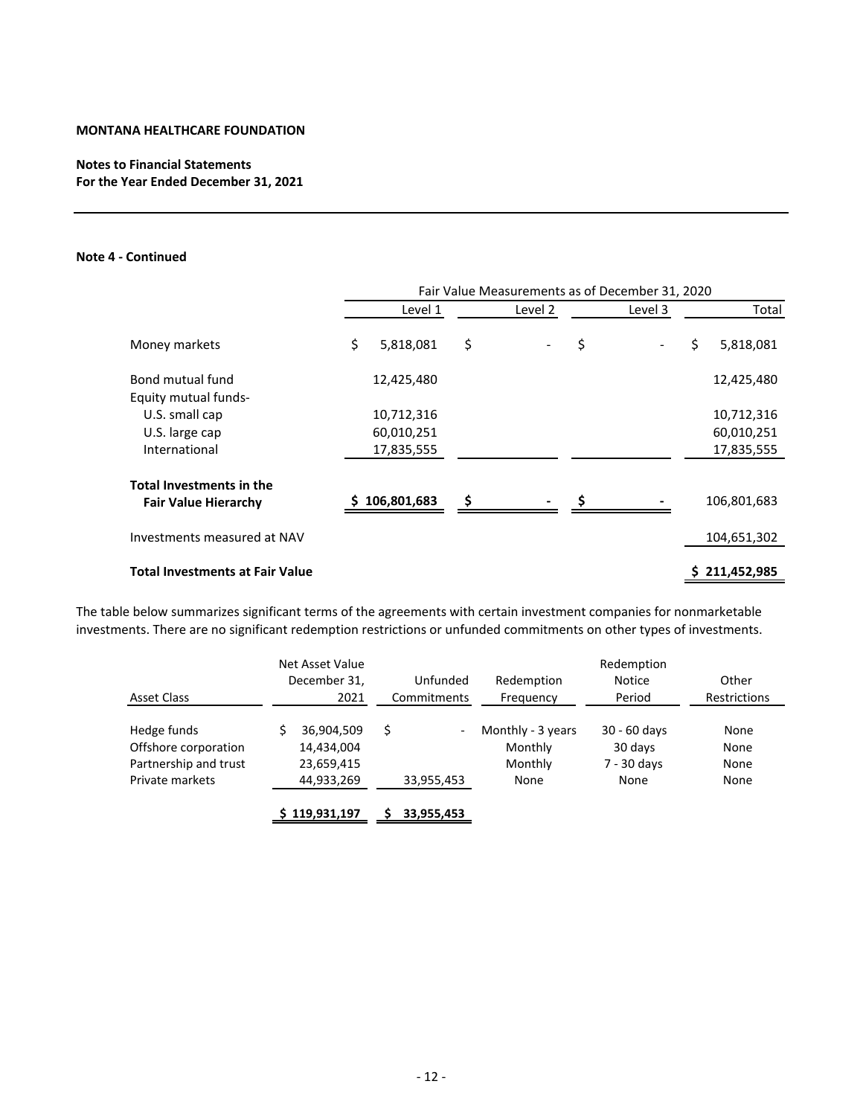# **Notes to Financial Statements For the Year Ended December 31, 2021**

# **Note 4 ‐ Continued**

|                                                                | Fair Value Measurements as of December 31, 2020 |             |    |         |    |         |    |               |  |  |  |  |
|----------------------------------------------------------------|-------------------------------------------------|-------------|----|---------|----|---------|----|---------------|--|--|--|--|
|                                                                |                                                 | Level 1     |    | Level 2 |    | Level 3 |    | Total         |  |  |  |  |
| Money markets                                                  | \$                                              | 5,818,081   | \$ |         | \$ |         | \$ | 5,818,081     |  |  |  |  |
| Bond mutual fund<br>Equity mutual funds-                       |                                                 | 12,425,480  |    |         |    |         |    | 12,425,480    |  |  |  |  |
| U.S. small cap                                                 |                                                 | 10,712,316  |    |         |    |         |    | 10,712,316    |  |  |  |  |
| U.S. large cap                                                 |                                                 | 60,010,251  |    |         |    |         |    | 60,010,251    |  |  |  |  |
| International                                                  |                                                 | 17,835,555  |    |         |    |         |    | 17,835,555    |  |  |  |  |
| <b>Total Investments in the</b><br><b>Fair Value Hierarchy</b> |                                                 | 106,801,683 | \$ |         |    |         |    | 106,801,683   |  |  |  |  |
| Investments measured at NAV                                    |                                                 |             |    |         |    |         |    | 104,651,302   |  |  |  |  |
| <b>Total Investments at Fair Value</b>                         |                                                 |             |    |         |    |         |    | \$211,452,985 |  |  |  |  |

The table below summarizes significant terms of the agreements with certain investment companies for nonmarketable investments. There are no significant redemption restrictions or unfunded commitments on other types of investments.

|                       | Net Asset Value |   |             |                   | Redemption    |                     |
|-----------------------|-----------------|---|-------------|-------------------|---------------|---------------------|
|                       | December 31,    |   | Unfunded    | Redemption        | <b>Notice</b> | Other               |
| Asset Class           | 2021            |   | Commitments | Frequency         | Period        | <b>Restrictions</b> |
|                       |                 |   |             |                   |               |                     |
| Hedge funds           | 36,904,509      | Ś | -           | Monthly - 3 years | 30 - 60 days  | None                |
| Offshore corporation  | 14,434,004      |   |             | Monthly           | 30 days       | None                |
| Partnership and trust | 23,659,415      |   |             | Monthly           | 7 - 30 days   | None                |
| Private markets       | 44,933,269      |   | 33,955,453  | None              | None          | None                |
|                       | 119,931,197     |   | 33,955,453  |                   |               |                     |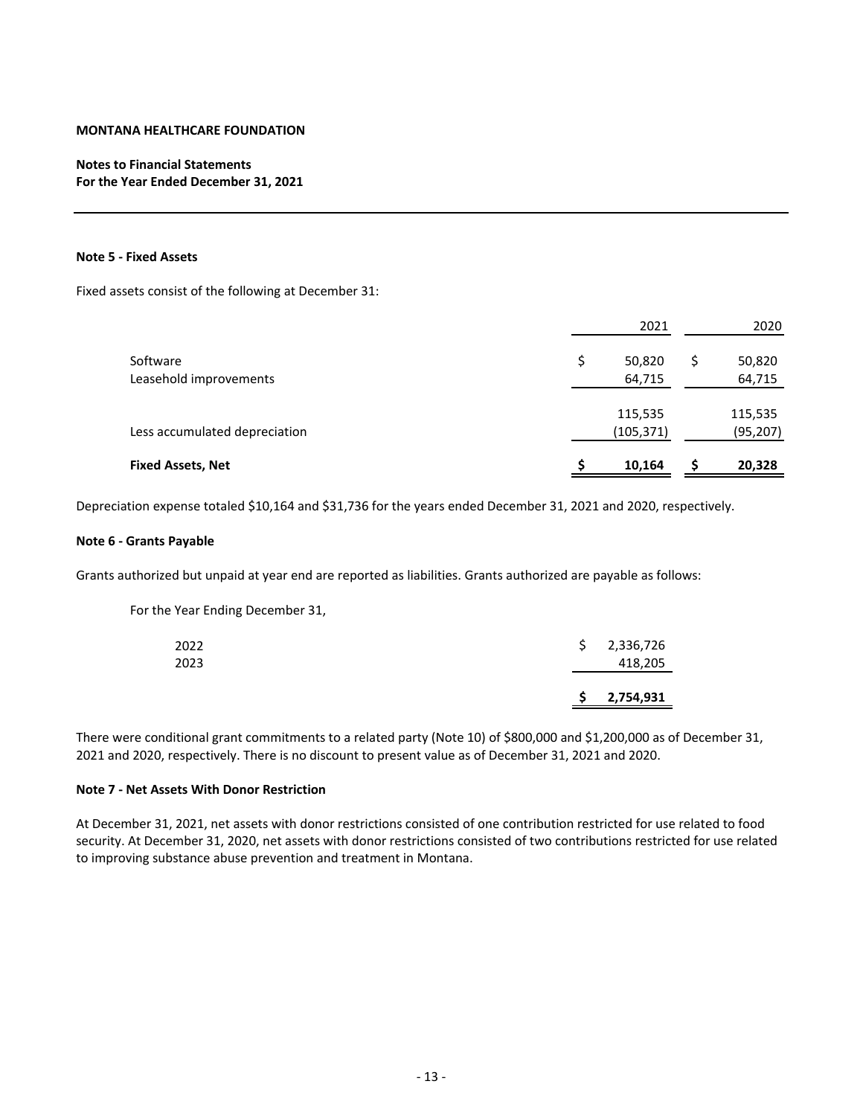# **Notes to Financial Statements For the Year Ended December 31, 2021**

## **Note 5 ‐ Fixed Assets**

Fixed assets consist of the following at December 31:

|                                    | 2021                   |   | 2020                 |
|------------------------------------|------------------------|---|----------------------|
| Software<br>Leasehold improvements | \$<br>50,820<br>64,715 | S | 50,820<br>64,715     |
| Less accumulated depreciation      | 115,535<br>(105, 371)  |   | 115,535<br>(95, 207) |
| <b>Fixed Assets, Net</b>           | 10,164                 |   | 20,328               |

Depreciation expense totaled \$10,164 and \$31,736 for the years ended December 31, 2021 and 2020, respectively.

#### **Note 6 ‐ Grants Payable**

Grants authorized but unpaid at year end are reported as liabilities. Grants authorized are payable as follows:

For the Year Ending December 31,

|      | S. | 2,754,931   |
|------|----|-------------|
| 2023 |    | 418,205     |
| 2022 |    | \$2,336,726 |

There were conditional grant commitments to a related party (Note 10) of \$800,000 and \$1,200,000 as of December 31, 2021 and 2020, respectively. There is no discount to present value as of December 31, 2021 and 2020.

## **Note 7 ‐ Net Assets With Donor Restriction**

At December 31, 2021, net assets with donor restrictions consisted of one contribution restricted for use related to food security. At December 31, 2020, net assets with donor restrictions consisted of two contributions restricted for use related to improving substance abuse prevention and treatment in Montana.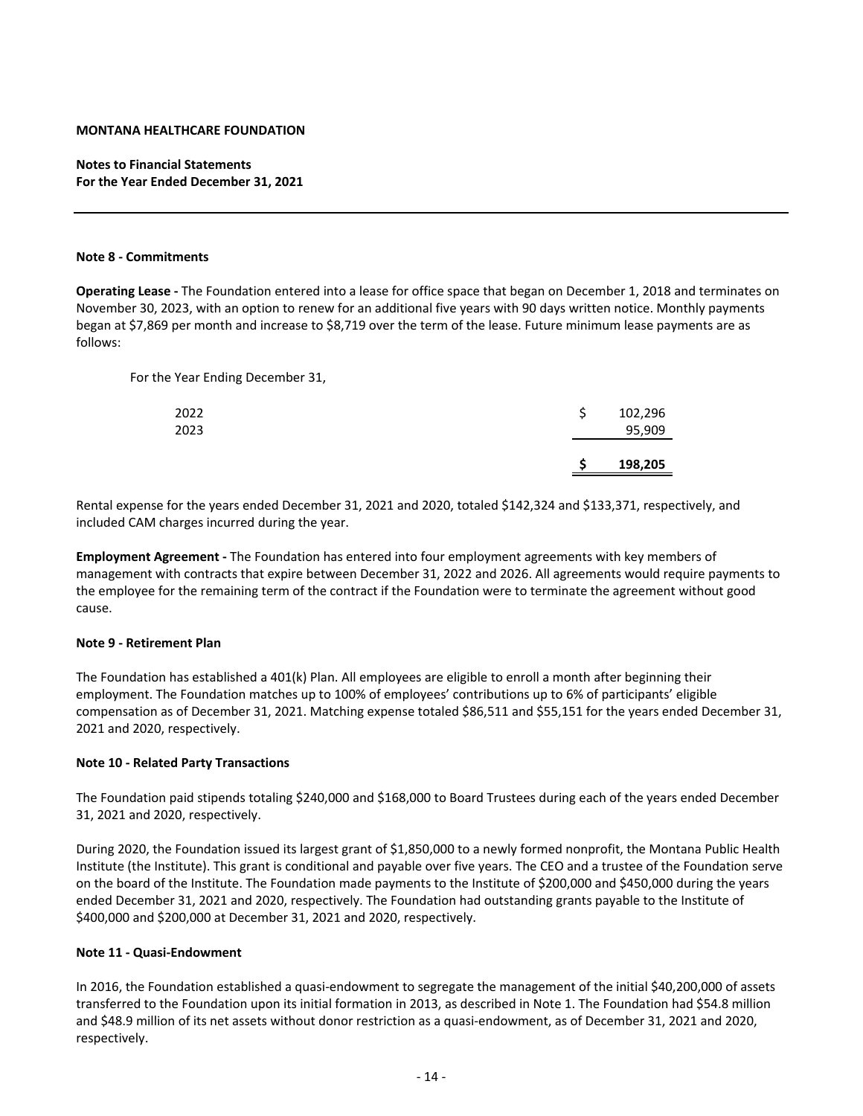# **Notes to Financial Statements For the Year Ended December 31, 2021**

#### **Note 8 ‐ Commitments**

**Operating Lease ‐** The Foundation entered into a lease for office space that began on December 1, 2018 and terminates on November 30, 2023, with an option to renew for an additional five years with 90 days written notice. Monthly payments began at \$7,869 per month and increase to \$8,719 over the term of the lease. Future minimum lease payments are as follows:

For the Year Ending December 31,

| 2022<br>2023 |  | 102,296<br>95,909 |
|--------------|--|-------------------|
|              |  | 198,205           |

Rental expense for the years ended December 31, 2021 and 2020, totaled \$142,324 and \$133,371, respectively, and included CAM charges incurred during the year.

**Employment Agreement ‐** The Foundation has entered into four employment agreements with key members of management with contracts that expire between December 31, 2022 and 2026. All agreements would require payments to the employee for the remaining term of the contract if the Foundation were to terminate the agreement without good cause.

#### **Note 9 ‐ Retirement Plan**

The Foundation has established a 401(k) Plan. All employees are eligible to enroll a month after beginning their employment. The Foundation matches up to 100% of employees' contributions up to 6% of participants' eligible compensation as of December 31, 2021. Matching expense totaled \$86,511 and \$55,151 for the years ended December 31, 2021 and 2020, respectively.

#### **Note 10 ‐ Related Party Transactions**

The Foundation paid stipends totaling \$240,000 and \$168,000 to Board Trustees during each of the years ended December 31, 2021 and 2020, respectively.

During 2020, the Foundation issued its largest grant of \$1,850,000 to a newly formed nonprofit, the Montana Public Health Institute (the Institute). This grant is conditional and payable over five years. The CEO and a trustee of the Foundation serve on the board of the Institute. The Foundation made payments to the Institute of \$200,000 and \$450,000 during the years ended December 31, 2021 and 2020, respectively. The Foundation had outstanding grants payable to the Institute of \$400,000 and \$200,000 at December 31, 2021 and 2020, respectively.

#### **Note 11 ‐ Quasi‐Endowment**

In 2016, the Foundation established a quasi-endowment to segregate the management of the initial \$40,200,000 of assets transferred to the Foundation upon its initial formation in 2013, as described in Note 1. The Foundation had \$54.8 million and \$48.9 million of its net assets without donor restriction as a quasi-endowment, as of December 31, 2021 and 2020, respectively.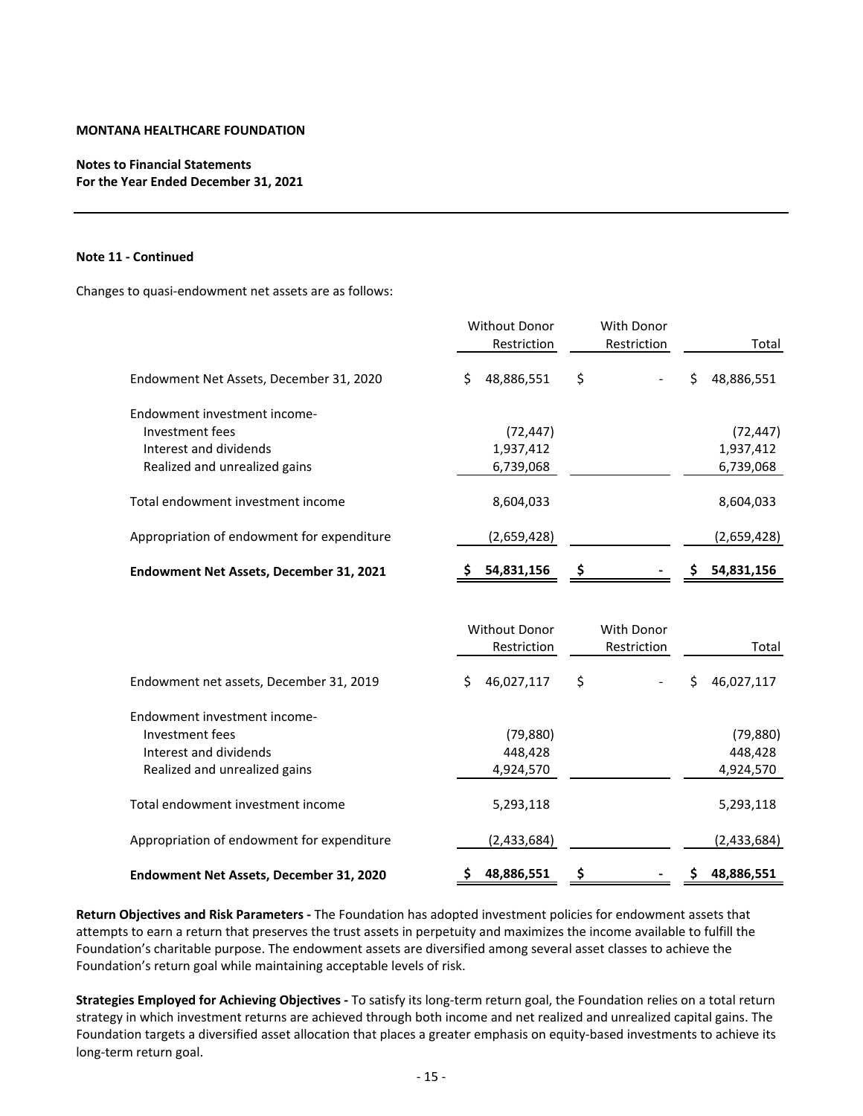# **Notes to Financial Statements For the Year Ended December 31, 2021**

#### **Note 11 ‐ Continued**

Changes to quasi‐endowment net assets are as follows:

| <b>Without Donor</b> | With Donor    |                   |
|----------------------|---------------|-------------------|
| Restriction          | Restriction   | Total             |
| 48,886,551<br>\$     | \$            | \$<br>48,886,551  |
|                      |               |                   |
| (72, 447)            |               | (72, 447)         |
| 1,937,412            |               | 1,937,412         |
| 6,739,068            |               | 6,739,068         |
| 8,604,033            |               | 8,604,033         |
| (2,659,428)          |               | (2,659,428)       |
| 54,831,156<br>S.     | \$            | 54,831,156<br>\$  |
|                      |               |                   |
|                      |               |                   |
| Restriction          | Restriction   | Total             |
| 46,027,117<br>Ś.     | \$            | \$<br>46,027,117  |
|                      |               |                   |
| (79, 880)            |               | (79, 880)         |
| 448,428              |               | 448,428           |
| 4,924,570            |               | 4,924,570         |
| 5,293,118            |               | 5,293,118         |
| (2,433,684)          |               | (2,433,684)       |
|                      | Without Donor | <b>With Donor</b> |

**Return Objectives and Risk Parameters ‐** The Foundation has adopted investment policies for endowment assets that attempts to earn a return that preserves the trust assets in perpetuity and maximizes the income available to fulfill the Foundation's charitable purpose. The endowment assets are diversified among several asset classes to achieve the Foundation's return goal while maintaining acceptable levels of risk.

**Endowment Net Assets, December 31, 2020 \$ ‐ 48,886,551 \$ \$ 48,886,551**

**Strategies Employed for Achieving Objectives ‐** To satisfy its long‐term return goal, the Foundation relies on a total return strategy in which investment returns are achieved through both income and net realized and unrealized capital gains. The Foundation targets a diversified asset allocation that places a greater emphasis on equity-based investments to achieve its long‐term return goal.